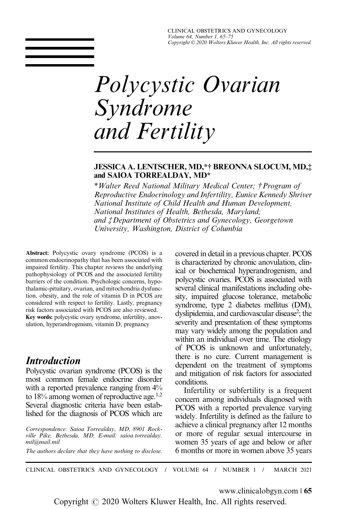CLINICAL OBSTETRICS AND GYNECOLOGY Volume 64, Number 1, 65–75 Copyright © 2020 Wolters Kluwer Health, Inc. All rights reserved.

# Polycystic Ovarian Syndrome and Fertility

#### JESSICA A. LENTSCHER, MD,\*† BREONNA SLOCUM, MD,‡ and SAIOA TORREALDAY, MD\*

\*Walter Reed National Military Medical Center; †Program of Reproductive Endocrinology and Infertility, Eunice Kennedy Shriver National Institute of Child Health and Human Development, National Institutes of Health, Bethesda, Maryland; and ‡Department of Obstetrics and Gynecology, Georgetown University, Washington, District of Columbia

Abstract: Polycystic ovary syndrome (PCOS) is a common endocrinopathy that has been associated with impaired fertility. This chapter reviews the underlying pathophysiology of PCOS and the associated fertility barriers of the condition. Psychologic concerns, hypothalamic-pituitary, ovarian, and mitochondria dysfunction, obesity, and the role of vitamin D in PCOS are considered with respect to fertility. Lastly, pregnancy risk factors associated with PCOS are also reviewed. Key words: polycystic ovary syndrome, infertility, anovulation, hyperandrogenism, vitamin D, pregnancy

# **Introduction**

Polycystic ovarian syndrome (PCOS) is the most common female endocrine disorder with a reported prevalence ranging from  $4\%$ to 18% among women of reproductive age.<sup>1,2</sup> Several diagnostic criteria have been established for the diagnosis of PCOS which are

Correspondence: Saioa Torrealday, MD, 8901 Rockville Pike, Bethesda, MD. E-mail: [saioa.torrealday.](mailto:saioa.torrealday.mil@mail.mil) [mil@mail.mil](mailto:saioa.torrealday.mil@mail.mil)

covered in detail in a previous chapter. PCOS is characterized by chronic anovulation, clinical or biochemical hyperandrogenism, and polycystic ovaries. PCOS is associated with several clinical manifestations including obesity, impaired glucose tolerance, metabolic syndrome, type 2 diabetes mellitus (DM), dyslipidemia, and cardiovascular disease<sup>2</sup>; the severity and presentation of these symptoms may vary widely among the population and within an individual over time. The etiology of PCOS is unknown and unfortunately, there is no cure. Current management is dependent on the treatment of symptoms and mitigation of risk factors for associated conditions.

Infertility or subfertility is a frequent concern among individuals diagnosed with PCOS with a reported prevalence varying widely. Infertility is defined as the failure to achieve a clinical pregnancy after 12 months or more of regular sexual intercourse in women 35 years of age and below or after The authors declare that they have nothing to disclose. 6 months or more in women above 35 years

CLINICAL OBSTETRICS AND GYNECOLOGY / VOLUME 64 / NUMBER 1 / MARCH 2021

www.clinicalobgyn.com | 65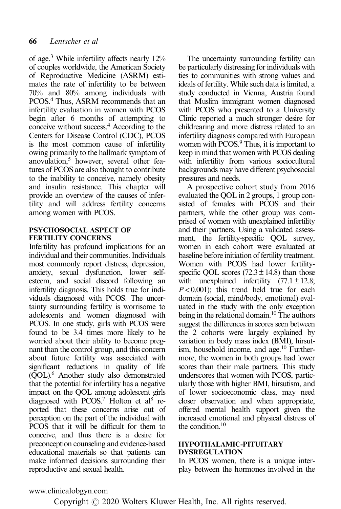of age[.3](#page-8-0) While infertility affects nearly 12% of couples worldwide, the American Society of Reproductive Medicine (ASRM) estimates the rate of infertility to be between 70% and 80% among individuals with PCOS.[4](#page-8-0) Thus, ASRM recommends that an infertility evaluation in women with PCOS begin after 6 months of attempting to conceive without success[.4](#page-8-0) According to the Centers for Disease Control (CDC), PCOS is the most common cause of infertility owing primarily to the hallmark symptom of anovulation,<sup>5</sup> however, several other features of PCOS are also thought to contribute to the inability to conceive, namely obesity and insulin resistance. This chapter will provide an overview of the causes of infertility and will address fertility concerns among women with PCOS.

#### PSYCHOSOCIAL ASPECT OF FERTILITY CONCERNS

Infertility has profound implications for an individual and their communities. Individuals most commonly report distress, depression, anxiety, sexual dysfunction, lower selfesteem, and social discord following an infertility diagnosis. This holds true for individuals diagnosed with PCOS. The uncertainty surrounding fertility is worrisome to adolescents and women diagnosed with PCOS. In one study, girls with PCOS were found to be 3.4 times more likely to be worried about their ability to become pregnant than the control group, and this concern about future fertility was associated with significant reductions in quality of life (QOL)[.6](#page-8-0) Another study also demonstrated that the potential for infertility has a negative impact on the QOL among adolescent girls diagnosed with  $PCOS$ .<sup>7</sup> Holton et al<sup>[8](#page-8-0)</sup> reported that these concerns arise out of perception on the part of the individual with PCOS that it will be difficult for them to conceive, and thus there is a desire for preconception counseling and evidence-based educational materials so that patients can make informed decisions surrounding their reproductive and sexual health.

The uncertainty surrounding fertility can be particularly distressing for individuals with ties to communities with strong values and ideals of fertility. While such data is limited, a study conducted in Vienna, Austria found that Muslim immigrant women diagnosed with PCOS who presented to a University Clinic reported a much stronger desire for childrearing and more distress related to an infertility diagnosis compared with European women with PCOS.<sup>9</sup> Thus, it is important to keep in mind that women with PCOS dealing with infertility from various sociocultural backgrounds may have different psychosocial pressures and needs.

A prospective cohort study from 2016 evaluated the QOL in 2 groups, 1 group consisted of females with PCOS and their partners, while the other group was comprised of women with unexplained infertility and their partners. Using a validated assessment, the fertility-specific QOL survey, women in each cohort were evaluated at baseline before initiation of fertility treatment. Women with PCOS had lower fertilityspecific OOL scores  $(72.3 \pm 14.8)$  than those with unexplained infertility  $(77.1 \pm 12.8)$ ;  $P < 0.001$ ; this trend held true for each domain (social, mind/body, emotional) evaluated in the study with the only exception being in the relational domain.<sup>10</sup> The authors suggest the differences in scores seen between the 2 cohorts were largely explained by variation in body mass index (BMI), hirsutism, household income, and age.<sup>10</sup> Furthermore, the women in both groups had lower scores than their male partners. This study underscores that women with PCOS, particularly those with higher BMI, hirsutism, and of lower socioeconomic class, may need closer observation and when appropriate, offered mental health support given the increased emotional and physical distress of the condition.<sup>[10](#page-8-0)</sup>

#### HYPOTHALAMIC-PITUITARY DYSREGULATION

In PCOS women, there is a unique interplay between the hormones involved in the

# www.clinicalobgyn.com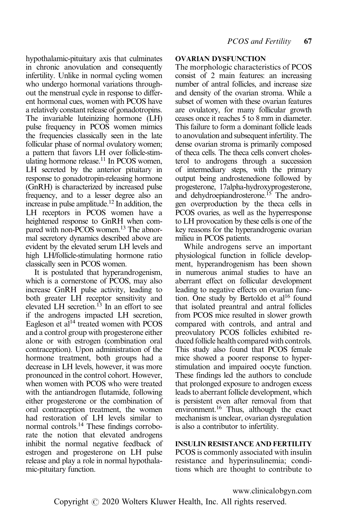hypothalamic-pituitary axis that culminates in chronic anovulation and consequently infertility. Unlike in normal cycling women who undergo hormonal variations throughout the menstrual cycle in response to different hormonal cues, women with PCOS have a relatively constant release of gonadotropins. The invariable luteinizing hormone (LH) pulse frequency in PCOS women mimics the frequencies classically seen in the late follicular phase of normal ovulatory women; a pattern that favors LH over follicle-stimulating hormone release.<sup>11</sup> In PCOS women, LH secreted by the anterior pituitary in response to gonadotropin-releasing hormone (GnRH) is characterized by increased pulse frequency, and to a lesser degree also an increase in pulse amplitude.<sup>12</sup> In addition, the LH receptors in PCOS women have a heightened response to GnRH when compared with non-PCOS women.<sup>13</sup> The abnormal secretory dynamics described above are evident by the elevated serum LH levels and high LH/follicle-stimulating hormone ratio classically seen in PCOS women.

It is postulated that hyperandrogenism, which is a cornerstone of PCOS, may also increase GnRH pulse activity, leading to both greater LH receptor sensitivity and elevated LH secretion.<sup>13</sup> In an effort to see if the androgens impacted LH secretion, Eagleson et al<sup>[14](#page-8-0)</sup> treated women with PCOS and a control group with progesterone either alone or with estrogen (combination oral contraception). Upon administration of the hormone treatment, both groups had a decrease in LH levels, however, it was more pronounced in the control cohort. However, when women with PCOS who were treated with the antiandrogen flutamide, following either progesterone or the combination of oral contraception treatment, the women had restoration of LH levels similar to normal controls.<sup>14</sup> These findings corroborate the notion that elevated androgens inhibit the normal negative feedback of estrogen and progesterone on LH pulse release and play a role in normal hypothalamic-pituitary function.

## OVARIAN DYSFUNCTION

The morphologic characteristics of PCOS consist of 2 main features: an increasing number of antral follicles, and increase size and density of the ovarian stroma. While a subset of women with these ovarian features are ovulatory, for many follicular growth ceases once it reaches 5 to 8 mm in diameter. This failure to form a dominant follicle leads to anovulation and subsequent infertility. The dense ovarian stroma is primarily composed of theca cells. The theca cells convert cholesterol to androgens through a succession of intermediary steps, with the primary output being androstenedione followed by progesterone, 17alpha-hydroxyprogesterone, and dehydroepiandrosterone.<sup>15</sup> The androgen overproduction by the theca cells in PCOS ovaries, as well as the hyperresponse to LH provocation by these cells is one of the key reasons for the hyperandrogenic ovarian milieu in PCOS patients.

While androgens serve an important physiological function in follicle development, hyperandrogenism has been shown in numerous animal studies to have an aberrant effect on follicular development leading to negative effects on ovarian function. One study by Bertoldo et al<sup>16</sup> found that isolated preantral and antral follicles from PCOS mice resulted in slower growth compared with controls, and antral and preovulatory PCOS follicles exhibited reduced follicle health compared with controls. This study also found that PCOS female mice showed a poorer response to hyperstimulation and impaired oocyte function. These findings led the authors to conclude that prolonged exposure to androgen excess leads to aberrant follicle development, which is persistent even after removal from that environment.<sup>[16](#page-8-0)</sup> Thus, although the exact mechanism is unclear, ovarian dysregulation is also a contributor to infertility.

## INSULIN RESISTANCE AND FERTILITY

PCOS is commonly associated with insulin resistance and hyperinsulinemia; conditions which are thought to contribute to

www.clinicalobgyn.com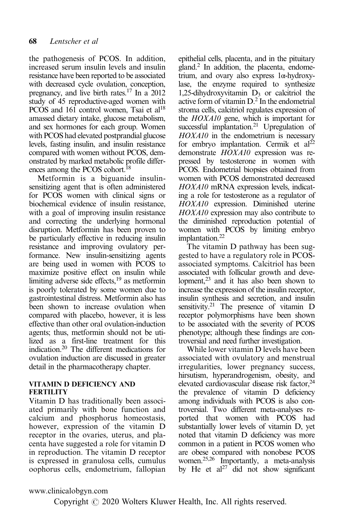the pathogenesis of PCOS. In addition, increased serum insulin levels and insulin resistance have been reported to be associated with decreased cycle ovulation, conception, pregnancy, and live birth rates[.17](#page-8-0) In a 2012 study of 45 reproductive-aged women with PCOS and 161 control women, Tsai et al<sup>18</sup> amassed dietary intake, glucose metabolism, and sex hormones for each group. Women with PCOS had elevated postprandial glucose levels, fasting insulin, and insulin resistance compared with women without PCOS, demonstrated by marked metabolic profile differences among the PCOS cohort.<sup>18</sup>

Metformin is a biguanide insulinsensitizing agent that is often administered for PCOS women with clinical signs or biochemical evidence of insulin resistance, with a goal of improving insulin resistance and correcting the underlying hormonal disruption. Metformin has been proven to be particularly effective in reducing insulin resistance and improving ovulatory performance. New insulin-sensitizing agents are being used in women with PCOS to maximize positive effect on insulin while limiting adverse side effects,  $19$  as metformin is poorly tolerated by some women due to gastrointestinal distress. Metformin also has been shown to increase ovulation when compared with placebo, however, it is less effective than other oral ovulation-induction agents; thus, metformin should not be utilized as a first-line treatment for this indication[.20](#page-8-0) The different medications for ovulation induction are discussed in greater detail in the pharmacotherapy chapter.

## VITAMIN D DEFICIENCY AND FERTILITY

Vitamin D has traditionally been associated primarily with bone function and calcium and phosphorus homeostasis, however, expression of the vitamin D receptor in the ovaries, uterus, and placenta have suggested a role for vitamin D in reproduction. The vitamin D receptor is expressed in granulosa cells, cumulus oophorus cells, endometrium, fallopian epithelial cells, placenta, and in the pituitary gland.<sup>2</sup> In addition, the placenta, endometrium, and ovary also express 1α-hydroxylase, the enzyme required to synthesize 1,25-dihydroxyvitamin  $D_3$  or calcitriol the active form of vitamin  $D<sup>2</sup>$  In the endometrial stroma cells, calcitriol regulates expression of the HOXA10 gene, which is important for successful implantation.<sup>21</sup> Upregulation of HOXA10 in the endometrium is necessary for embryo implantation. Cermik et  $al^{22}$ demonstrate HOXA10 expression was repressed by testosterone in women with PCOS. Endometrial biopsies obtained from women with PCOS demonstrated decreased HOXA10 mRNA expression levels, indicating a role for testosterone as a regulator of HOXA10 expression. Diminished uterine HOXA10 expression may also contribute to the diminished reproduction potential of women with PCOS by limiting embryo implantation.<sup>22</sup>

The vitamin D pathway has been suggested to have a regulatory role in PCOSassociated symptoms. Calcitriol has been associated with follicular growth and development, $^{23}$  and it has also been shown to increase the expression of the insulin receptor, insulin synthesis and secretion, and insulin sensitivity.<sup>21</sup> The presence of vitamin  $D$ receptor polymorphisms have been shown to be associated with the severity of PCOS phenotype; although these findings are controversial and need further investigation.

While lower vitamin D levels have been associated with ovulatory and menstrual irregularities, lower pregnancy success, hirsutism, hyperandrogenism, obesity, and elevated cardiovascular disease risk factor,<sup>24</sup> the prevalence of vitamin D deficiency among individuals with PCOS is also controversial. Two different meta-analyses reported that women with PCOS had substantially lower levels of vitamin D, yet noted that vitamin D deficiency was more common in a patient in PCOS women who are obese compared with nonobese PCOS women[.25,26](#page-9-0) Importantly, a meta-analysis by He et  $al^{27}$  did not show significant

www.clinicalobgyn.com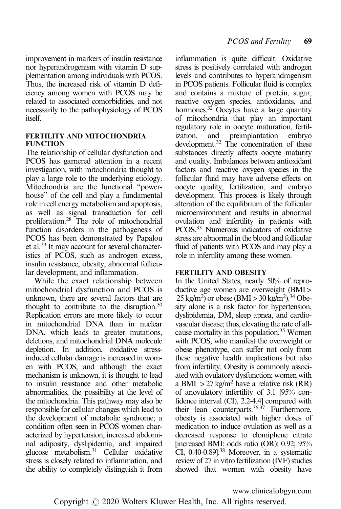improvement in markers of insulin resistance nor hyperandrogenism with vitamin D supplementation among individuals with PCOS. Thus, the increased risk of vitamin D deficiency among women with PCOS may be related to associated comorbidities, and not necessarily to the pathophysiology of PCOS itself.

#### FERTILITY AND MITOCHONDRIA FUNCTION

The relationship of cellular dysfunction and PCOS has garnered attention in a recent investigation, with mitochondria thought to play a large role to the underlying etiology. Mitochondria are the functional "powerhouse" of the cell and play a fundamental role in cell energy metabolism and apoptosis, as well as signal transduction for cell proliferation.[28](#page-9-0) The role of mitochondrial function disorders in the pathogenesis of PCOS has been demonstrated by Papalou et al[.29](#page-9-0) It may account for several characteristics of PCOS, such as androgen excess, insulin resistance, obesity, abnormal follicular development, and inflammation.

While the exact relationship between mitochondrial dysfunction and PCOS is unknown, there are several factors that are thought to contribute to the disruption.<sup>[30](#page-9-0)</sup> Replication errors are more likely to occur in mitochondrial DNA than in nuclear DNA, which leads to greater mutations, deletions, and mitochondrial DNA molecule depletion. In addition, oxidative stressinduced cellular damage is increased in women with PCOS, and although the exact mechanism is unknown, it is thought to lead to insulin resistance and other metabolic abnormalities, the possibility at the level of the mitochondria. This pathway may also be responsible for cellular changes which lead to the development of metabolic syndrome; a condition often seen in PCOS women characterized by hypertension, increased abdominal adiposity, dyslipidemia, and impaired glucose metabolism[.31](#page-9-0) Cellular oxidative stress is closely related to inflammation, and the ability to completely distinguish it from inflammation is quite difficult. Oxidative stress is positively correlated with androgen levels and contributes to hyperandrogenism in PCOS patients. Follicular fluid is complex and contains a mixture of protein, sugar, reactive oxygen species, antioxidants, and hormones.<sup>32</sup> Oocytes have a large quantity of mitochondria that play an important regulatory role in oocyte maturation, fertilization, and preimplantation embryo development.<sup>32</sup> The concentration of these substances directly affects oocyte maturity and quality. Imbalances between antioxidant factors and reactive oxygen species in the follicular fluid may have adverse effects on oocyte quality, fertilization, and embryo development. This process is likely through alteration of the equilibrium of the follicular microenvironment and results in abnormal ovulation and infertility in patients with PCOS[.33](#page-9-0) Numerous indicators of oxidative stress are abnormal in the blood and follicular fluid of patients with PCOS and may play a role in infertility among these women.

## FERTILITY AND OBESITY

In the United States, nearly 50% of reproductive age women are overweight (BMI>  $25 \text{ kg/m}^2$ ) or obese (BMI > 30 kg/m<sup>2</sup>).<sup>34</sup> Obesity alone is a risk factor for hypertension, dyslipidemia, DM, sleep apnea, and cardiovascular disease; thus, elevating the rate of allcause mortality in this population.<sup>35</sup> Women with PCOS, who manifest the overweight or obese phenotype, can suffer not only from these negative health implications but also from infertility. Obesity is commonly associated with ovulatory dysfunction; women with a BMI  $>$  27 kg/m<sup>2</sup> have a relative risk (RR) of anovulatory infertility of 3.1 [95% confidence interval (CI), 2.2-4.4] compared with their lean counterparts.  $36,37$  Furthermore, obesity is associated with higher doses of medication to induce ovulation as well as a decreased response to clomiphene citrate [increased BMI: odds ratio (OR): 0.92; 95% CI, 0.40-0.89][.38](#page-9-0) Moreover, in a systematic review of 27 in vitro fertilization (IVF) studies showed that women with obesity have

www.clinicalobgyn.com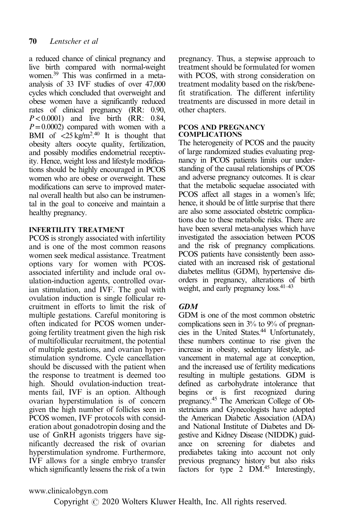a reduced chance of clinical pregnancy and live birth compared with normal-weight women[.39](#page-9-0) This was confirmed in a metaanalysis of 33 IVF studies of over 47,000 cycles which concluded that overweight and obese women have a significantly reduced rates of clinical pregnancy (RR: 0.90,  $P < 0.0001$ ) and live birth (RR: 0.84,  $P=0.0002$ ) compared with women with a BMI of  $\langle 25 \text{ kg/m}^2$ <sup>[40](#page-9-0)</sup> It is thought that obesity alters oocyte quality, fertilization, and possibly modifies endometrial receptivity. Hence, weight loss and lifestyle modifications should be highly encouraged in PCOS women who are obese or overweight. These modifications can serve to improved maternal overall health but also can be instrumental in the goal to conceive and maintain a healthy pregnancy.

## INFERTILITY TREATMENT

PCOS is strongly associated with infertility and is one of the most common reasons women seek medical assistance. Treatment options vary for women with PCOSassociated infertility and include oral ovulation-induction agents, controlled ovarian stimulation, and IVF. The goal with ovulation induction is single follicular recruitment in efforts to limit the risk of multiple gestations. Careful monitoring is often indicated for PCOS women undergoing fertility treatment given the high risk of multifollicular recruitment, the potential of multiple gestations, and ovarian hyperstimulation syndrome. Cycle cancellation should be discussed with the patient when the response to treatment is deemed too high. Should ovulation-induction treatments fail, IVF is an option. Although ovarian hyperstimulation is of concern given the high number of follicles seen in PCOS women, IVF protocols with consideration about gonadotropin dosing and the use of GnRH agonists triggers have significantly decreased the risk of ovarian hyperstimulation syndrome. Furthermore, IVF allows for a single embryo transfer which significantly lessens the risk of a twin pregnancy. Thus, a stepwise approach to treatment should be formulated for women with PCOS, with strong consideration on treatment modality based on the risk/benefit stratification. The different infertility treatments are discussed in more detail in other chapters.

#### PCOS AND PREGNANCY COMPLICATIONS

The heterogeneity of PCOS and the paucity of large randomized studies evaluating pregnancy in PCOS patients limits our understanding of the causal relationships of PCOS and adverse pregnancy outcomes. It is clear that the metabolic sequelae associated with PCOS affect all stages in a women's life; hence, it should be of little surprise that there are also some associated obstetric complications due to these metabolic risks. There are have been several meta-analyses which have investigated the association between PCOS and the risk of pregnancy complications. PCOS patients have consistently been associated with an increased risk of gestational diabetes mellitus (GDM), hypertensive disorders in pregnancy, alterations of birth weight, and early pregnancy loss.<sup>41–[43](#page-9-0)</sup>

# GDM

GDM is one of the most common obstetric complications seen in 3% to 9% of pregnancies in the United States.<sup>44</sup> Unfortunately, these numbers continue to rise given the increase in obesity, sedentary lifestyle, advancement in maternal age at conception, and the increased use of fertility medications resulting in multiple gestations. GDM is defined as carbohydrate intolerance that begins or is first recognized during pregnancy[.45](#page-9-0) The American College of Obstetricians and Gynecologists have adopted the American Diabetic Association (ADA) and National Institute of Diabetes and Digestive and Kidney Disease (NIDDK) guidance on screening for diabetes and prediabetes taking into account not only previous pregnancy history but also risks factors for type 2 DM.<sup>45</sup> Interestingly,

www.clinicalobgyn.com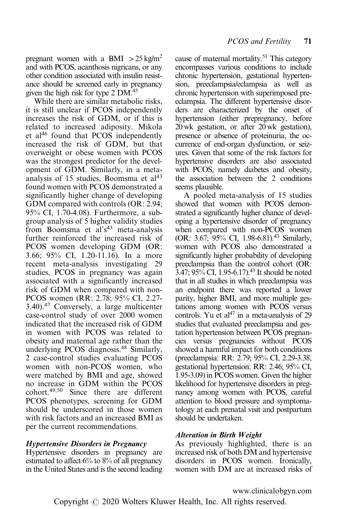pregnant women with a BMI  $>$  25 kg/m<sup>2</sup> and with PCOS, acanthosis nigricans, or any other condition associated with insulin resistance should be screened early in pregnancy given the high risk for type 2 DM.<sup>45</sup>

While there are similar metabolic risks, it is still unclear if PCOS independently increases the risk of GDM, or if this is related to increased adiposity. Mikola et al<sup>[46](#page-9-0)</sup> found that PCOS independently increased the risk of GDM, but that overweight or obese women with PCOS was the strongest predictor for the development of GDM. Similarly, in a metaanalysis of 15 studies, Boomsma et  $al<sup>43</sup>$  $al<sup>43</sup>$  $al<sup>43</sup>$ found women with PCOS demonstrated a significantly higher change of developing GDM compared with controls (OR: 2.94; 95% CI, 1.70-4.08). Furthermore, a subgroup analysis of 5 higher validity studies from Boomsma et al's<sup>43</sup> meta-analysis further reinforced the increased risk of PCOS women developing GDM (OR: 3.66; 95% CI, 1.20-11.16). In a more recent meta-analysis investigating 29 studies, PCOS in pregnancy was again associated with a significantly increased risk of GDM when compared with non-PCOS women (RR: 2.78; 95% CI, 2.27- 3.40).[47](#page-9-0) Conversely, a large multicenter case-control study of over 2000 women indicated that the increased risk of GDM in women with PCOS was related to obesity and maternal age rather than the underlying PCOS diagnosis.<sup>[48](#page-9-0)</sup> Similarly, 2 case-control studies evaluating PCOS women with non-PCOS women, who were matched by BMI and age, showed no increase in GDM within the PCOS cohort[.49](#page-9-0),[50](#page-9-0) Since there are different PCOS phenotypes, screening for GDM should be underscored in those women with risk factors and an increased BMI as per the current recommendations.

#### Hypertensive Disorders in Pregnancy

Hypertensive disorders in pregnancy are estimated to affect 6% to 8% of all pregnancy in the United States and is the second leading cause of maternal mortality.<sup>51</sup> This category encompasses various conditions to include chronic hypertension, gestational hypertension, preeclampsia/eclampsia as well as chronic hypertension with superimposed preeclampsia. The different hypertensive disorders are characterized by the onset of hypertension (either prepregnancy, before 20 wk gestation, or after 20 wk gestation), presence or absence of proteinuria, the occurrence of end-organ dysfunction, or seizures. Given that some of the risk factors for hypertensive disorders are also associated with PCOS, namely diabetes and obesity, the association between the 2 conditions seems plausible.

A pooled meta-analysis of 15 studies showed that women with PCOS demonstrated a significantly higher chance of developing a hypertensive disorder of pregnancy when compared with non-PCOS women (OR: 3.67; 95% CI, 1.98-6.81)[.43](#page-9-0) Similarly, women with PCOS also demonstrated a significantly higher probability of developing preeclampsia than the control cohort (OR:  $3.47$ ;  $95\%$  CI, 1.95-6.17).<sup>[43](#page-9-0)</sup> It should be noted that in all studies in which preeclampsia was an endpoint there was reported a lower parity, higher BMI, and more multiple gestations among women with PCOS versus controls. Yu et  $al^{47}$  in a meta-analysis of 29 studies that evaluated preeclampsia and gestation hypertension between PCOS pregnancies versus pregnancies without PCOS showed a harmful impact for both conditions (preeclampsia: RR: 2.79; 95% CI, 2.29-3.38, gestational hypertension: RR: 2.46; 95% CI, 1.95-3.09) in PCOS women. Given the higher likelihood for hypertensive disorders in pregnancy among women with PCOS, careful attention to blood pressure and symptomatology at each prenatal visit and postpartum should be undertaken.

## Alteration in Birth Weight

As previously highlighted, there is an increased risk of both DM and hypertensive disorders in PCOS women. Ironically, women with DM are at increased risks of

www.clinicalobgyn.com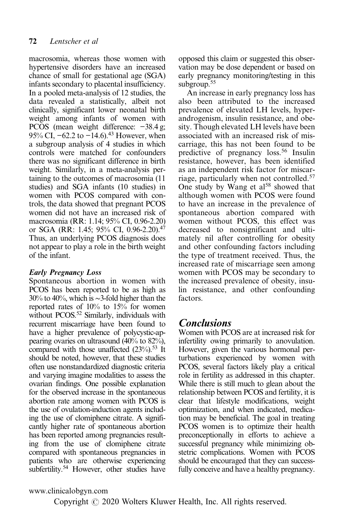macrosomia, whereas those women with hypertensive disorders have an increased chance of small for gestational age (SGA) infants secondary to placental insufficiency. In a pooled meta-analysis of 12 studies, the data revealed a statistically, albeit not clinically, significant lower neonatal birth weight among infants of women with PCOS (mean weight difference: −38.4 g; 95% CI,  $-62.2$  to  $-14.6$ ).<sup>43</sup> However, when a subgroup analysis of 4 studies in which controls were matched for confounders there was no significant difference in birth weight. Similarly, in a meta-analysis pertaining to the outcomes of macrosomia (11 studies) and SGA infants (10 studies) in women with PCOS compared with controls, the data showed that pregnant PCOS women did not have an increased risk of macrosomia (RR: 1.14; 95% CI, 0.96-2.20) or SGA (RR: 1.45; 95% CI, 0.96-2.20)[.47](#page-9-0) Thus, an underlying PCOS diagnosis does not appear to play a role in the birth weight of the infant.

# Early Pregnancy Loss

Spontaneous abortion in women with PCOS has been reported to be as high as 30% to 40%, which is ∼3-fold higher than the reported rates of 10% to 15% for women without PCOS.<sup>52</sup> Similarly, individuals with recurrent miscarriage have been found to have a higher prevalence of polycystic-appearing ovaries on ultrasound (40% to 82%), compared with those unaffected  $(23\%)$ .<sup>53</sup> It should be noted, however, that these studies often use nonstandardized diagnostic criteria and varying imagine modalities to assess the ovarian findings. One possible explanation for the observed increase in the spontaneous abortion rate among women with PCOS is the use of ovulation-induction agents including the use of clomiphene citrate. A significantly higher rate of spontaneous abortion has been reported among pregnancies resulting from the use of clomiphene citrate compared with spontaneous pregnancies in patients who are otherwise experiencing subfertility.<sup>54</sup> However, other studies have opposed this claim or suggested this observation may be dose dependent or based on early pregnancy monitoring/testing in this subgroup.<sup>55</sup>

An increase in early pregnancy loss has also been attributed to the increased prevalence of elevated LH levels, hyperandrogenism, insulin resistance, and obesity. Though elevated LH levels have been associated with an increased risk of miscarriage, this has not been found to be predictive of pregnancy loss.<sup>[56](#page-10-0)</sup> Insulin resistance, however, has been identified as an independent risk factor for miscarriage, particularly when not controlled.[57](#page-10-0) One study by Wang et  $al^{58}$  $al^{58}$  $al^{58}$  showed that although women with PCOS were found to have an increase in the prevalence of spontaneous abortion compared with women without PCOS, this effect was decreased to nonsignificant and ultimately nil after controlling for obesity and other confounding factors including the type of treatment received. Thus, the increased rate of miscarriage seen among women with PCOS may be secondary to the increased prevalence of obesity, insulin resistance, and other confounding factors.

# **Conclusions**

Women with PCOS are at increased risk for infertility owing primarily to anovulation. However, given the various hormonal perturbations experienced by women with PCOS, several factors likely play a critical role in fertility as addressed in this chapter. While there is still much to glean about the relationship between PCOS and fertility, it is clear that lifestyle modifications, weight optimization, and when indicated, medication may be beneficial. The goal in treating PCOS women is to optimize their health preconceptionally in efforts to achieve a successful pregnancy while minimizing obstetric complications. Women with PCOS should be encouraged that they can successfully conceive and have a healthy pregnancy.

www.clinicalobgyn.com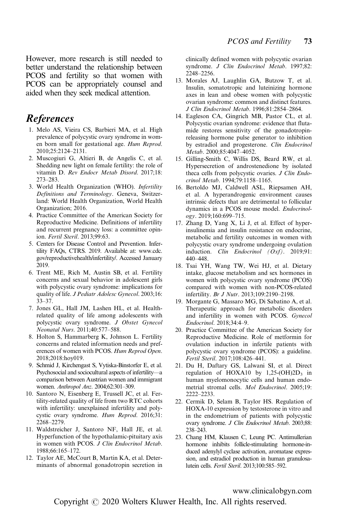<span id="page-8-0"></span>However, more research is still needed to better understand the relationship between PCOS and fertility so that women with PCOS can be appropriately counsel and aided when they seek medical attention.

# References

- 1. Melo AS, Vieira CS, Barbieri MA, et al. High prevalence of polycystic ovary syndrome in women born small for gestational age. Hum Reprod. 2010;25:2124–2131.
- 2. Muscogiuri G, Altieri B, de Angelis C, et al. Shedding new light on female fertility: the role of vitamin D. Rev Endocr Metab Disord. 2017;18: 273–283.
- 3. World Health Organization (WHO). Infertility Definitions and Terminology. Geneva, Switzerland: World Health Organization, World Health Organization; 2016.
- 4. Practice Committee of the American Society for Reproductive Medicine. Definitions of infertility and recurrent pregnancy loss: a committee opinion. Fertil Steril. 2013;99:63.
- 5. Centers for Disease Control and Prevention. Infertility FAQs, CTRS. 2019. Available at: [www.cdc.](http://www.cdc.gov/reproductivehealth/infertility/) [gov/reproductivehealth/infertility/](http://www.cdc.gov/reproductivehealth/infertility/). Accessed January 2019.
- 6. Trent ME, Rich M, Austin SB, et al. Fertility concerns and sexual behavior in adolescent girls with polycystic ovary syndrome: implications for quality of life. J Pediatr Adolesc Gynecol. 2003;16: 33–37.
- 7. Jones GL, Hall JM, Lashen HL, et al. Healthrelated quality of life among adolescents with polycystic ovary syndrome. J Obstet Gynecol Neonatal Nurs. 2011;40:577–588.
- 8. Holton S, Hammarberg K, Johnson L. Fertility concerns and related information needs and preferences of women with PCOS. Hum Reprod Open. 2018;2018:hoy019.
- 9. Schmid J, Kirchengast S, Vytiska-Binstorfer E, et al. Psychosocial and sociocultural aspects of infertility—a comparison between Austrian women and immigrant women. Anthropol Anz. 2004;62:301–309.
- 10. Santoro N, Eisenberg E, Trussell JC, et al. Fertility-related quality of life from two RTC cohorts with infertility: unexplained infertility and polycystic ovary syndrome. Hum Reprod. 2016;31: 2268–2279.
- 11. Waldstreicher J, Santoro NF, Hall JE, et al. Hyperfunction of the hypothalamic-pituitary axis in women with PCOS. J Clin Endocrinol Metab. 1988;66:165–172.
- 12. Taylor AE, McCourt B, Martin KA, et al. Determinants of abnormal gonadotropin secretion in

clinically defined women with polycystic ovarian syndrome. J Clin Endocrinol Metab. 1997;82: 2248–2256.

- 13. Morales AJ, Laughlin GA, Butzow T, et al. Insulin, somatotropic and luteinizing hormone axes in lean and obese women with polycystic ovarian syndrome: common and distinct features. J Clin Endocrinol Metab. 1996;81:2854–2864.
- 14. Eagleson CA, Gingrich MB, Pastor CL, et al. Polycystic ovarian syndrome: evidence that flutamide restores sensitivity of the gonadotropinreleasing hormone pulse generator to inhibition by estradiol and progesterone. Clin Endocrinol Metab. 2000;85:4047–4052.
- 15. Gilling-Smith C, Willis DS, Beard RW, et al. Hypersecretion of androstenedione by isolated theca cells from polycystic ovaries. J Clin Endocrinol Metab. 1994;79:1158–1165.
- 16. Bertoldo MJ, Caldwell ASL, Riepsamen AH, et al. A hyperandrogenic environment causes intrinsic defects that are detrimental to follicular dynamics in a PCOS mouse model. Endocrinology. 2019;160:699–715.
- 17. Zhang D, Yang X, Li J, et al. Effect of hyperinsulinemia and insulin resistance on endocrine, metabolic and fertility outcomes in women with polycystic ovary syndrome undergoing ovulation induction. Clin Endocrinol  $(Oxf)$ . 2019;91: 440–448.
- 18. Tsai YH, Wang TW, Wei HJ, et al. Dietary intake, glucose metabolism and sex hormones in women with polycystic ovary syndrome (PCOS) compared with women with non-PCOS-related infertility. Br J Nutr. 2013;109:2190–2198.
- 19. Morgante G, Massaro MG, Di Sabatino A, et al. Therapeutic approach for metabolic disorders and infertility in women with PCOS. Gynecol Endocrinol. 2018;34:4–9.
- 20. Practice Committee of the American Society for Reproductive Medicine. Role of metformin for ovulation induction in infertile patients with polycystic ovary syndrome (PCOS): a guideline. Fertil Steril. 2017;108:426–441.
- 21. Du H, Daftary GS, Lalwani SI, et al. Direct regulation of HOXA10 by  $1,25-(OH)2D_3$  in human myelomonocytic cells and human endometrial stromal cells. Mol Endocrinol. 2005;19: 2222–2233.
- 22. Cermik D, Selam B, Taylor HS. Regulation of HOXA-10 expression by testosterone in vitro and in the endometrium of patients with polycystic ovary syndrome. J Clin Endocrinol Metab. 2003;88: 238–243.
- 23. Chang HM, Klausen C, Leung PC. Antimullerian hormone inhibits follicle-stimulating hormone-induced adenylyl cyclase activation, aromatase expression, and estradiol production in human granulosalutein cells. Fertil Steril. 2013;100:585–592.

www.clinicalobgyn.com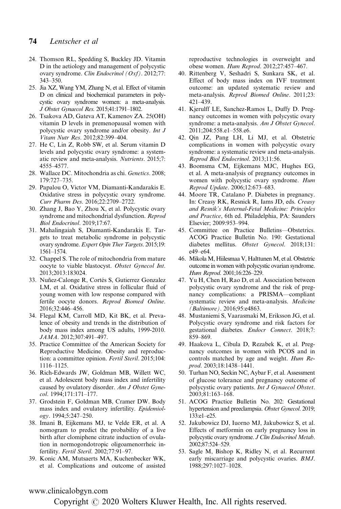#### <span id="page-9-0"></span>74 Lentscher et al

- 24. Thomson RL, Spedding S, Buckley JD. Vitamin D in the aetiology and management of polycystic ovary syndrome. Clin Endocrinol (Oxf). 2012;77: 343–350.
- 25. Jia XZ, Wang YM, Zhang N, et al. Effect of vitamin D on clinical and biochemical parameters in polycystic ovary syndrome women: a meta-analysis. J Obstet Gynaecol Res. 2015;41:1791–1802.
- 26. Tsakova AD, Gateva AT, Kamenov ZA. 25(OH) vitamin D levels in premenopausal women with polycystic ovary syndrome and/or obesity. Int J Vitam Nutr Res. 2012;82:399–404.
- 27. He C, Lin Z, Robb SW, et al. Serum vitamin D levels and polycystic ovary syndrome: a systematic review and meta-analysis. Nutrients. 2015;7: 4555–4577.
- 28. Wallace DC. Mitochondria as chi. Genetics. 2008; 179:727–735.
- 29. Papalou O, Victor VM, Diamanti-Kandarakis E. Oxidative stress in polycystic ovary syndrome. Curr Pharm Des. 2016;22:2709–2722.
- 30. Zhang J, Bao Y, Zhou X, et al. Polycystic ovary syndrome and mitochondrial dysfunction. Reprod Biol Endocrinol. 2019;17:67.
- 31. Mahalingaiah S, Diamanti-Kandarakis E. Targets to treat metabolic syndrome in polycystic ovary syndrome. Expert Opin Ther Targets. 2015;19: 1561–1574.
- 32. Chappel S. The role of mitochondria from mature oocyte to viable blastocyst. Obstet Gynecol Int. 2013;2013:183024.
- 33. Nuñez-Calonge R, Cortés S, Gutierrez Gonzalez LM, et al. Oxidative stress in follicular fluid of young women with low response compared with fertile oocyte donors. Reprod Biomed Online. 2016;32:446–456.
- 34. Flegal KM, Carroll MD, Kit BK, et al. Prevalence of obesity and trends in the distribution of body mass index among US adults, 1999-2010. JAMA. 2012;307:491–497.
- 35. Practice Committee of the American Society for Reproductive Medicine. Obesity and reproduction: a committee opinion. Fertil Steril. 2015;104: 1116–1125.
- 36. Rich-Edwards JW, Goldman MB, Willett WC, et al. Adolescent body mass index and infertility caused by ovulatory disorder. Am J Obstet Gynecol. 1994;171:171–177.
- 37. Grodstein F, Goldman MB, Cramer DW. Body mass index and ovulatory infertility. Epidemiology. 1994;5:247–250.
- 38. Imani B, Eijkemans MJ, te Velde ER, et al. A nomogram to predict the probability of a live birth after clomiphene citrate induction of ovulation in normogondotropic oligoamenorrheic infertility. Fertil Steril. 2002;77:91–97.
- 39. Konic AM, Mutsaerts MA, Kuchenbecker WK, et al. Complications and outcome of assisted

reproductive technologies in overweight and obese women. Hum Reprod. 2012;27:457–467.

- 40. Rittenberg V, Seshadri S, Sunkara SK, et al. Effect of body mass index on IVF treatment outcome: an updated systematic review and meta-analysis. Reprod Biomed Online. 2011;23: 421–439.
- 41. Kjerulff LE, Sanchez-Ramos L, Duffy D. Pregnancy outcomes in women with polycystic ovary syndrome: a meta-analysis. Am J Obstet Gynecol. 2011;204:558.e1–558.e6.
- 42. Qin JZ, Pang LH, Li MJ, et al. Obstetric complications in women with polycystic ovary syndrome: a systematic review and meta-analysis. Reprod Biol Endocrinol. 2013;11:56.
- 43. Boomsma CM, Eijkemans MJC, Hughes EG, et al. A meta-analysis of pregnancy outcomes in women with polycystic ovary syndrome. Hum Reprod Update. 2006;12:673–683.
- 44. Moore TR, Catalano P. Diabetes in pregnancy. In: Creasy RK, Resnick R, Iams JD, eds. Creasy and Resnik's Maternal-Fetal Medicine: Principles and Practice, 6th ed. Philadelphia, PA: Saunders Elsevier; 2009:953–994.
- 45. Committee on Practice Bulletins—Obstetrics. ACOG Practice Bulletin No. 190: Gestational diabetes mellitus. Obstet Gynecol. 2018;131: e49–e64.
- 46. MikolaM, Hiilesmaa V, Halttunen M, et al. Obstetric outcome in women with polycystic ovarian syndrome. Hum Reprod. 2001;16:226–229.
- 47. Yu H, Chen H, Rao D, et al. Association between polycystic ovary syndrome and the risk of pregnancy complications: a PRISMA—compliant systematic review and meta-analysis. Medicine (Baltimore). 2016;95:e4863.
- 48. Mustaniemi S, Vaarasmaki M, Eriksson JG, et al. Polycystic ovary syndrome and risk factors for gestational diabetes. Endocr Connect. 2018;7: 859–869.
- 49. Haakova L, Cibula D, Rezabek K, et al. Pregnancy outcomes in women with PCOS and in controls matched by age and weight. Hum Reprod. 2003;18:1438–1441.
- 50. Turhan NO, Seckin NC, Aybar F, et al. Assessment of glucose tolerance and pregnancy outcome of polycystic ovary patients. Int J Gynaecol Obstet. 2003;81:163–168.
- 51. ACOG Practice Bulletin No. 202: Gestational hypertension and preeclampsia. Obstet Gynecol. 2019; 133:e1–e25.
- 52. Jakubowicz DJ, Iuorno MJ, Jakubowicz S, et al. Effects of metformin on early pregnancy loss in polycystic ovary syndrome. J Clin Endocrinol Metab. 2002;87:524–529.
- 53. Sagle M, Bishop K, Ridley N, et al. Recurrent early miscarriage and polycystic ovaries. BMJ. 1988;297:1027–1028.

#### www.clinicalobgyn.com